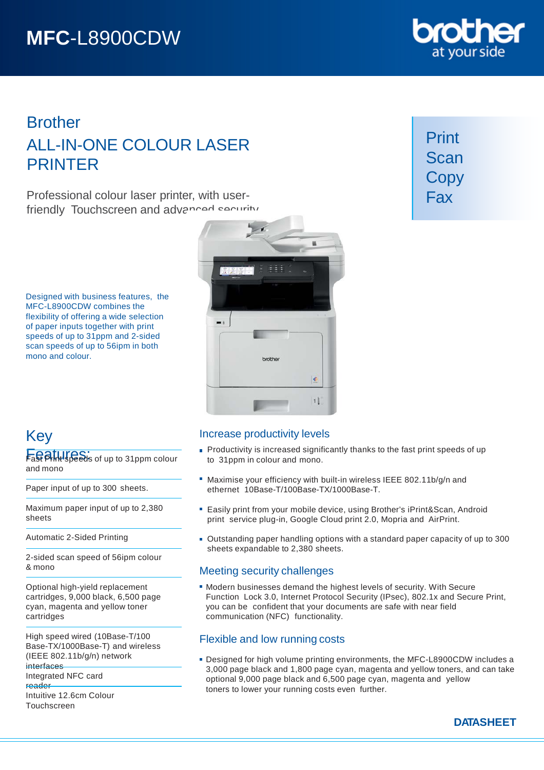# **MFC**-L8900CDW

### **Brother** ALL-IN-ONE COLOUR LASER PRINTER

Professional colour laser printer, with userfriendly Touchscreen and advanced security

Designed with business features, the MFC-L8900CDW combines the flexibility of offering a wide selection of paper inputs together with print speeds of up to 31ppm and 2-sided scan speeds of up to 56ipm in both mono and colour.



## Key

Fast Alluspeeds of up to 31 ppm colour and mono

Paper input of up to 300 sheets.

Maximum paper input of up to 2,380 sheets

Automatic 2-Sided Printing

2-sided scan speed of 56ipm colour & mono

Optional high-yield replacement cartridges, 9,000 black, 6,500 page cyan, magenta and yellow toner cartridges

High speed wired (10Base-T/100 Base-TX/1000Base-T) and wireless (IEEE 802.11b/g/n) network interfaces

Integrated NFC card reader

Intuitive 12.6cm Colour Touchscreen

#### Increase productivity levels

- **Productivity is increased significantly thanks to the fast print speeds of up** to 31ppm in colour and mono.
- Maximise your efficiency with built-in wireless IEEE 802.11b/g/n and ethernet 10Base-T/100Base-TX/1000Base-T.
- Easily print from your mobile device, using Brother's iPrint&Scan, Android print service plug-in, Google Cloud print 2.0, Mopria and AirPrint.
- Outstanding paper handling options with a standard paper capacity of up to 300 sheets expandable to 2,380 sheets.

#### Meeting security challenges

Modern businesses demand the highest levels of security. With Secure Function Lock 3.0, Internet Protocol Security (IPsec), 802.1x and Secure Print, you can be confident that your documents are safe with near field communication (NFC) functionality.

### Flexible and low running costs

Designed for high volume printing environments, the MFC-L8900CDW includes a 3,000 page black and 1,800 page cyan, magenta and yellow toners, and can take optional 9,000 page black and 6,500 page cyan, magenta and yellow toners to lower your running costs even further.



Print Scan **Copy** Fax

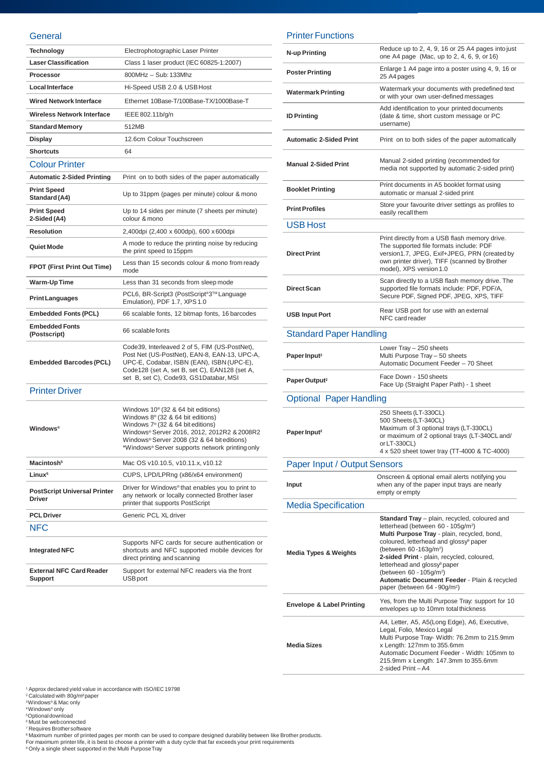#### **General**

| <b>Technology</b>                                    | Electrophotographic Laser Printer                                                                                                                                                                                                                                                        |
|------------------------------------------------------|------------------------------------------------------------------------------------------------------------------------------------------------------------------------------------------------------------------------------------------------------------------------------------------|
| <b>Laser Classification</b>                          | Class 1 laser product (IEC 60825-1:2007)                                                                                                                                                                                                                                                 |
| Processor                                            | 800MHz - Sub: 133Mhz                                                                                                                                                                                                                                                                     |
| <b>Local Interface</b>                               | Hi-Speed USB 2.0 & USB Host                                                                                                                                                                                                                                                              |
| <b>Wired Network Interface</b>                       | Ethernet 10Base-T/100Base-TX/1000Base-T                                                                                                                                                                                                                                                  |
| <b>Wireless Network Interface</b>                    | IEEE 802.11b/g/n                                                                                                                                                                                                                                                                         |
| <b>Standard Memory</b>                               | 512MB                                                                                                                                                                                                                                                                                    |
| Display                                              | 12.6cm Colour Touchscreen                                                                                                                                                                                                                                                                |
| <b>Shortcuts</b>                                     | 64                                                                                                                                                                                                                                                                                       |
| <b>Colour Printer</b>                                |                                                                                                                                                                                                                                                                                          |
| <b>Automatic 2-Sided Printing</b>                    | Print on to both sides of the paper automatically                                                                                                                                                                                                                                        |
| <b>Print Speed</b><br>Standard (A4)                  | Up to 31ppm (pages per minute) colour & mono                                                                                                                                                                                                                                             |
| <b>Print Speed</b><br>2-Sided (A4)                   | Up to 14 sides per minute (7 sheets per minute)<br>colour & mono                                                                                                                                                                                                                         |
| <b>Resolution</b>                                    | 2,400dpi (2,400 x 600dpi), 600 x 600dpi                                                                                                                                                                                                                                                  |
| Quiet Mode                                           | A mode to reduce the printing noise by reducing<br>the print speed to 15ppm                                                                                                                                                                                                              |
| <b>FPOT (First Print Out Time)</b>                   | Less than 15 seconds colour & mono from ready<br>mode                                                                                                                                                                                                                                    |
| Warm-Up Time                                         | Less than 31 seconds from sleep mode                                                                                                                                                                                                                                                     |
| <b>Print Languages</b>                               | PCL6, BR-Script3 (PostScript <sup>®</sup> 3™ Language<br>Emulation), PDF 1.7, XPS 1.0                                                                                                                                                                                                    |
| <b>Embedded Fonts (PCL)</b>                          | 66 scalable fonts, 12 bitmap fonts, 16 barcodes                                                                                                                                                                                                                                          |
| <b>Embedded Fonts</b><br>(Postscript)                | 66 scalable fonts                                                                                                                                                                                                                                                                        |
| <b>Embedded Barcodes (PCL)</b>                       | Code39, Interleaved 2 of 5, FIM (US-PostNet),<br>Post Net (US-PostNet), EAN-8, EAN-13, UPC-A,<br>UPC-E, Codabar, ISBN (EAN), ISBN (UPC-E),<br>Code128 (set A, set B, set C), EAN128 (set A,<br>set B, set C), Code93, GS1Databar, MSI                                                    |
| <b>Printer Driver</b>                                |                                                                                                                                                                                                                                                                                          |
| <b>Windows</b> <sup>®</sup>                          | Windows $10^{\circ}$ (32 & 64 bit editions)<br>Windows $8^{\circ}$ (32 & 64 bit editions)<br>Windows $7^{\circ}$ (32 & 64 bit editions)<br>Windows® Server 2016, 2012, 2012R2 & 2008R2<br>Windows® Server 2008 (32 & 64 bit editions)<br>*Windows® Server supports network printing only |
| Macintosh <sup>5</sup>                               | Mac OS v10.10.5, v10.11.x, v10.12                                                                                                                                                                                                                                                        |
| Linux <sup>5</sup>                                   | CUPS, LPD/LPRng (x86/x64 environment)                                                                                                                                                                                                                                                    |
| <b>PostScript Universal Printer</b><br><b>Driver</b> | Driver for Windows <sup>®</sup> that enables you to print to<br>any network or locally connected Brother laser<br>printer that supports PostScript                                                                                                                                       |
| <b>PCL Driver</b>                                    | Generic PCL XL driver                                                                                                                                                                                                                                                                    |
| NFC                                                  |                                                                                                                                                                                                                                                                                          |
| <b>Integrated NFC</b>                                | Supports NFC cards for secure authentication or<br>shortcuts and NFC supported mobile devices for<br>direct printing and scanning                                                                                                                                                        |
| <b>External NFC Card Reader</b><br><b>Support</b>    | Support for external NFC readers via the front<br><b>USB</b> port                                                                                                                                                                                                                        |

#### Printer Functions

| <b>N-up Printing</b>                 | Reduce up to 2, 4, 9, 16 or 25 A4 pages into just<br>one A4 page (Mac, up to 2, 4, 6, 9, or 16)                                                                                                                                                                                                                                                                                                                                                                        |
|--------------------------------------|------------------------------------------------------------------------------------------------------------------------------------------------------------------------------------------------------------------------------------------------------------------------------------------------------------------------------------------------------------------------------------------------------------------------------------------------------------------------|
| <b>Poster Printing</b>               | Enlarge 1 A4 page into a poster using 4, 9, 16 or<br>25 A4 pages                                                                                                                                                                                                                                                                                                                                                                                                       |
| <b>Watermark Printing</b>            | Watermark your documents with predefined text<br>or with your own user-defined messages                                                                                                                                                                                                                                                                                                                                                                                |
| <b>ID Printing</b>                   | Add identification to your printed documents<br>(date & time, short custom message or PC<br>username)                                                                                                                                                                                                                                                                                                                                                                  |
| <b>Automatic 2-Sided Print</b>       | Print on to both sides of the paper automatically                                                                                                                                                                                                                                                                                                                                                                                                                      |
| <b>Manual 2-Sided Print</b>          | Manual 2-sided printing (recommended for<br>media not supported by automatic 2-sided print)                                                                                                                                                                                                                                                                                                                                                                            |
| <b>Booklet Printing</b>              | Print documents in A5 booklet format using<br>automatic or manual 2-sided print                                                                                                                                                                                                                                                                                                                                                                                        |
| <b>Print Profiles</b>                | Store your favourite driver settings as profiles to<br>easily recall them                                                                                                                                                                                                                                                                                                                                                                                              |
| <b>USB Host</b>                      |                                                                                                                                                                                                                                                                                                                                                                                                                                                                        |
| <b>Direct Print</b>                  | Print directly from a USB flash memory drive.<br>The supported file formats include: PDF<br>version1.7, JPEG, Exif+JPEG, PRN (created by<br>own printer driver), TIFF (scanned by Brother<br>model), XPS version 1.0                                                                                                                                                                                                                                                   |
| <b>Direct Scan</b>                   | Scan directly to a USB flash memory drive. The<br>supported file formats include: PDF, PDF/A,<br>Secure PDF, Signed PDF, JPEG, XPS, TIFF                                                                                                                                                                                                                                                                                                                               |
| <b>USB Input Port</b>                | Rear USB port for use with an external<br>NFC card reader                                                                                                                                                                                                                                                                                                                                                                                                              |
| <b>Standard Paper Handling</b>       |                                                                                                                                                                                                                                                                                                                                                                                                                                                                        |
| Paper Input <sup>2</sup>             | Lower Tray - 250 sheets<br>Multi Purpose Tray - 50 sheets<br>Automatic Document Feeder - 70 Sheet                                                                                                                                                                                                                                                                                                                                                                      |
| Paper Output <sup>2</sup>            | Face Down - 150 sheets<br>Face Up (Straight Paper Path) - 1 sheet                                                                                                                                                                                                                                                                                                                                                                                                      |
| <b>Optional Paper Handling</b>       |                                                                                                                                                                                                                                                                                                                                                                                                                                                                        |
| Paper Input <sup>2</sup>             | 250 Sheets (LT-330CL)<br>500 Sheets (LT-340CL)<br>Maximum of 3 optional trays (LT-330CL)<br>or maximum of 2 optional trays (LT-340CL and/<br>or LT-330CL)<br>4 x 520 sheet tower tray (TT-4000 & TC-4000)                                                                                                                                                                                                                                                              |
| <b>Paper Input / Output Sensors</b>  |                                                                                                                                                                                                                                                                                                                                                                                                                                                                        |
| <b>Input</b>                         | Onscreen & optional email alerts notifying you<br>when any of the paper input trays are nearly<br>empty or empty                                                                                                                                                                                                                                                                                                                                                       |
| <b>Media Specification</b>           |                                                                                                                                                                                                                                                                                                                                                                                                                                                                        |
| <b>Media Types &amp; Weights</b>     | Standard Tray - plain, recycled, coloured and<br>letterhead (between 60 - 105g/m <sup>2</sup> )<br>Multi Purpose Tray - plain, recycled, bond,<br>coloured, letterhead and glossy <sup>9</sup> paper<br>(between 60-163g/m <sup>2</sup> )<br>2-sided Print - plain, recycled, coloured,<br>letterhead and glossy <sup>9</sup> paper<br>(between 60 - 105g/m <sup>2</sup> )<br>Automatic Document Feeder - Plain & recycled<br>paper (between 64 - 90g/m <sup>2</sup> ) |
| <b>Envelope &amp; Label Printing</b> | Yes, from the Multi Purpose Tray: support for 10<br>envelopes up to 10mm total thickness                                                                                                                                                                                                                                                                                                                                                                               |
| <b>Media Sizes</b>                   | A4, Letter, A5, A5(Long Edge), A6, Executive,<br>Legal, Folio, Mexico Legal<br>Multi Purpose Tray- Width: 76.2mm to 215.9mm<br>x Length: 127mm to 355.6mm<br>Automatic Document Feeder - Width: 105mm to<br>215.9mm x Length: 147.3mm to 355.6mm<br>2-sided Print-A4                                                                                                                                                                                                   |

<sup>1</sup> Approx declared yield value in accordance with ISO/IEC 19798<br><sup>3</sup>Calculated with 80g/m<sup>2</sup>paper<br><sup>3</sup>Windows® & Mac only<br><sup>8</sup>Obtional download<br><sup>6</sup> Must be web connected<br><sup>8</sup> Maximum number of printed pages per month can be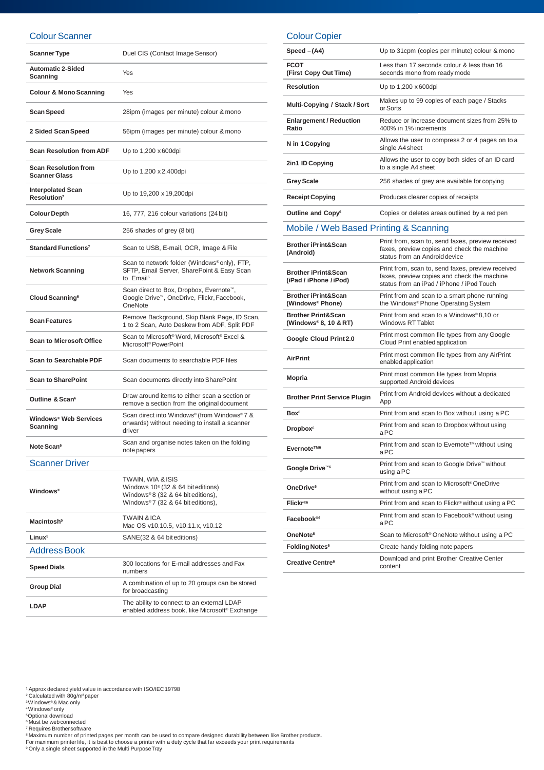#### Colour Scanner

| <b>Scanner Type</b>                                 | Duel CIS (Contact Image Sensor)                                                                                                            |
|-----------------------------------------------------|--------------------------------------------------------------------------------------------------------------------------------------------|
| <b>Automatic 2-Sided</b><br>Scanning                | Yes                                                                                                                                        |
| <b>Colour &amp; Mono Scanning</b>                   | Yes                                                                                                                                        |
| Scan Speed                                          | 28ipm (images per minute) colour & mono                                                                                                    |
| 2 Sided Scan Speed                                  | 56ipm (images per minute) colour & mono                                                                                                    |
| <b>Scan Resolution from ADF</b>                     | Up to 1,200 x 600dpi                                                                                                                       |
| <b>Scan Resolution from</b><br><b>Scanner Glass</b> | Up to 1,200 x 2,400 dpi                                                                                                                    |
| <b>Interpolated Scan</b><br>Resolution <sup>7</sup> | Up to 19,200 x 19,200dpi                                                                                                                   |
| <b>Colour Depth</b>                                 | 16, 777, 216 colour variations (24 bit)                                                                                                    |
| <b>Grey Scale</b>                                   | 256 shades of grey (8 bit)                                                                                                                 |
| Standard Functions <sup>7</sup>                     | Scan to USB, E-mail, OCR, Image & File                                                                                                     |
| <b>Network Scanning</b>                             | Scan to network folder (Windows®only), FTP,<br>SFTP, Email Server, SharePoint & Easy Scan<br>to Email <sup>6</sup>                         |
| Cloud Scanning <sup>6</sup>                         | Scan direct to Box, Dropbox, Evernote <sup>™</sup> ,<br>Google Drive™, OneDrive, Flickr, Facebook,<br>OneNote                              |
| <b>Scan Features</b>                                | Remove Background, Skip Blank Page, ID Scan,<br>1 to 2 Scan, Auto Deskew from ADF, Split PDF                                               |
| <b>Scan to Microsoft Office</b>                     | Scan to Microsoft® Word, Microsoft® Excel &<br>Microsoft <sup>®</sup> PowerPoint                                                           |
| <b>Scan to Searchable PDF</b>                       | Scan documents to searchable PDF files                                                                                                     |
| <b>Scan to SharePoint</b>                           | Scan documents directly into SharePoint                                                                                                    |
| Outline & Scan <sup>6</sup>                         | Draw around items to either scan a section or<br>remove a section from the original document                                               |
| Windows <sup>®</sup> Web Services<br>Scanning       | Scan direct into Windows® (from Windows®7 &<br>onwards) without needing to install a scanner<br>driver                                     |
| Note Scan <sup>6</sup>                              | Scan and organise notes taken on the folding<br>note papers                                                                                |
| <b>Scanner Driver</b>                               |                                                                                                                                            |
| <b>Windows</b> <sup>®</sup>                         | TWAIN, WIA & ISIS<br>Windows $10^{\circ}$ (32 & 64 bit editions)<br>Windows®8 (32 & 64 bit editions),<br>Windows®7 (32 & 64 bit editions), |
| Macintosh <sup>5</sup>                              | <b>TWAIN &amp; ICA</b><br>Mac OS v10.10.5, v10.11.x, v10.12                                                                                |
| Linux <sup>5</sup>                                  | SANE(32 & 64 bit editions)                                                                                                                 |
| Address Book                                        |                                                                                                                                            |
| <b>Speed Dials</b>                                  | 300 locations for E-mail addresses and Fax<br>numbers                                                                                      |

#### Colour Copier

| Speed $-(A4)$                                            | Up to 31cpm (copies per minute) colour & mono                                                                                                 |
|----------------------------------------------------------|-----------------------------------------------------------------------------------------------------------------------------------------------|
| <b>FCOT</b><br>(First Copy Out Time)                     | Less than 17 seconds colour & less than 16<br>seconds mono from ready mode                                                                    |
| <b>Resolution</b>                                        | Up to 1,200 x 600dpi                                                                                                                          |
| Multi-Copying / Stack / Sort                             | Makes up to 99 copies of each page / Stacks<br>or Sorts                                                                                       |
| <b>Enlargement / Reduction</b><br>Ratio                  | Reduce or Increase document sizes from 25% to<br>400% in 1% increments                                                                        |
| N in 1 Copying                                           | Allows the user to compress 2 or 4 pages on to a<br>single A4 sheet                                                                           |
| 2in1 ID Copying                                          | Allows the user to copy both sides of an ID card<br>to a single A4 sheet                                                                      |
| <b>Grey Scale</b>                                        | 256 shades of grey are available for copying                                                                                                  |
| <b>Receipt Copying</b>                                   | Produces clearer copies of receipts                                                                                                           |
| Outline and Copy <sup>6</sup>                            | Copies or deletes areas outlined by a red pen                                                                                                 |
| Mobile / Web Based Printing & Scanning                   |                                                                                                                                               |
| <b>Brother iPrint&amp;Scan</b><br>(Android)              | Print from, scan to, send faxes, preview received<br>faxes, preview copies and check the machine<br>status from an Android device             |
| <b>Brother iPrint&amp;Scan</b><br>(iPad / iPhone / iPod) | Print from, scan to, send faxes, preview received<br>faxes, preview copies and check the machine<br>status from an iPad / iPhone / iPod Touch |
| <b>Brother iPrint&amp;Scan</b><br>(Windows® Phone)       | Print from and scan to a smart phone running<br>the Windows® Phone Operating System                                                           |
| <b>Brother Print&amp;Scan</b><br>(Windows® 8, 10 & RT)   | Print from and scan to a Windows®8,10 or<br><b>Windows RT Tablet</b>                                                                          |
| Google Cloud Print 2.0                                   | Print most common file types from any Google<br>Cloud Print enabled application                                                               |
| <b>AirPrint</b>                                          | Print most common file types from any AirPrint<br>enabled application                                                                         |
| <b>Mopria</b>                                            | Print most common file types from Mopria<br>supported Android devices                                                                         |
| <b>Brother Print Service Plugin</b>                      | Print from Android devices without a dedicated<br>App                                                                                         |
| Box <sup>6</sup>                                         | Print from and scan to Box without using a PC                                                                                                 |
| Dropbox <sup>6</sup>                                     | Print from and scan to Dropbox without using<br>a PC                                                                                          |
| Evernote™ <sup>6</sup>                                   | Print from and scan to Evernote™ without using<br>aPC                                                                                         |
| Google Drive <sup>™6</sup>                               | Print from and scan to Google Drive™ without<br>using a PC                                                                                    |
| OneDrive <sup>6</sup>                                    | Print from and scan to Microsoft <sup>®</sup> OneDrive<br>without using a PC                                                                  |
| Flickr <sup>®6</sup>                                     | Print from and scan to Flickr <sup>®</sup> without using a PC                                                                                 |
| Facebook®                                                | Print from and scan to Facebook® without using<br>aPC                                                                                         |
| OneNote <sup>6</sup>                                     | Scan to Microsoft <sup>®</sup> OneNote without using a PC                                                                                     |
| Folding Notes <sup>6</sup>                               | Create handy folding note papers                                                                                                              |
| Creative Centre <sup>6</sup>                             | Download and print Brother Creative Center<br>content                                                                                         |

' Approx declared yield value in accordance with ISO/IEC 19798<br>? Calculated with 80g/m²paper<br>ᢀWindows® & Mac only<br>♦Windows® only

<sup>5</sup>Optional download<br><sup>6</sup> Must be web connected

' Requires Brothersoftware<br>® Maximum number of printed pages per month can be used to compare designed durability between like Brother products.<br>For maximum printer life, it is best to choose a printer with a duty cycle

enabled address book, like Microsoft® Exchange

**Group Dial** A combination of up to 20 groups can be stored for broadcasting **LDAP** The ability to connect to an external LDAP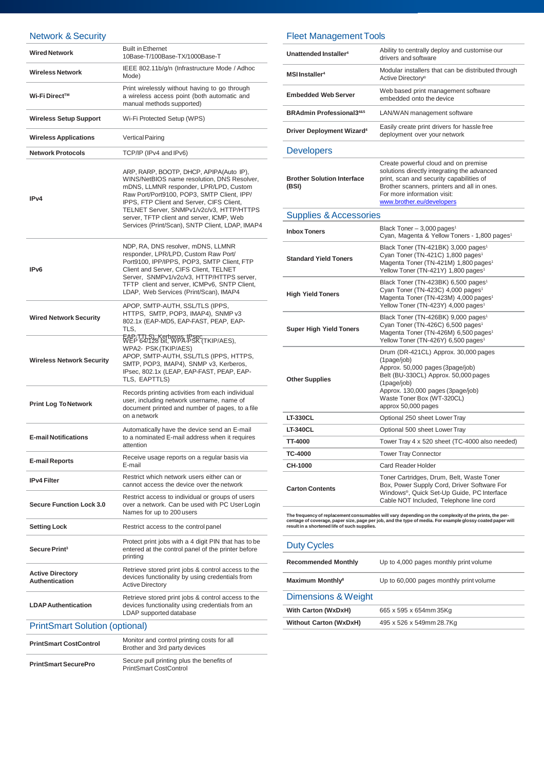#### Network & Security

| <b>INGLWUIN &amp; OGGUILLY</b>                   |                                                                                                                                                                                                                                                                                                                                                                         |
|--------------------------------------------------|-------------------------------------------------------------------------------------------------------------------------------------------------------------------------------------------------------------------------------------------------------------------------------------------------------------------------------------------------------------------------|
| <b>Wired Network</b>                             | <b>Built in Ethernet</b><br>10Base-T/100Base-TX/1000Base-T                                                                                                                                                                                                                                                                                                              |
| <b>Wireless Network</b>                          | IEEE 802.11b/g/n (Infrastructure Mode / Adhoc<br>Mode)                                                                                                                                                                                                                                                                                                                  |
| Wi-Fi Direct™                                    | Print wirelessly without having to go through<br>a wireless access point (both automatic and<br>manual methods supported)                                                                                                                                                                                                                                               |
| <b>Wireless Setup Support</b>                    | Wi-Fi Protected Setup (WPS)                                                                                                                                                                                                                                                                                                                                             |
| <b>Wireless Applications</b>                     | <b>Vertical Pairing</b>                                                                                                                                                                                                                                                                                                                                                 |
| <b>Network Protocols</b>                         | TCP/IP (IPv4 and IPv6)                                                                                                                                                                                                                                                                                                                                                  |
| IP <sub>v4</sub>                                 | ARP, RARP, BOOTP, DHCP, APIPA(Auto IP),<br>WINS/NetBIOS name resolution, DNS Resolver,<br>mDNS, LLMNR responder, LPR/LPD, Custom<br>Raw Port/Port9100, POP3, SMTP Client, IPP/<br>IPPS, FTP Client and Server, CIFS Client,<br>TELNET Server, SNMPv1/v2c/v3, HTTP/HTTPS<br>server, TFTP client and server, ICMP, Web<br>Services (Print/Scan), SNTP Client, LDAP, IMAP4 |
| IP <sub>v6</sub>                                 | NDP, RA, DNS resolver, mDNS, LLMNR<br>responder, LPR/LPD, Custom Raw Port/<br>Port9100, IPP/IPPS, POP3, SMTP Client, FTP<br>Client and Server, CIFS Client, TELNET<br>Server, SNMPv1/v2c/v3, HTTP/HTTPS server,<br>TFTP client and server, ICMPv6, SNTP Client,<br>LDAP, Web Services (Print/Scan), IMAP4                                                               |
| <b>Wired Network Security</b>                    | APOP, SMTP-AUTH, SSL/TLS (IPPS,<br>HTTPS, SMTP, POP3, IMAP4), SNMP v3<br>802.1x (EAP-MD5, EAP-FAST, PEAP, EAP-<br>TLS,                                                                                                                                                                                                                                                  |
| <b>Wireless Network Security</b>                 | EAP-TTLS), Kerberos, IPsec<br>WEP 64/128 bit, WPA-PSK (TKIP/AES),<br>WPA2- PSK (TKIP/AES)<br>APOP, SMTP-AUTH, SSL/TLS (IPPS, HTTPS,<br>SMTP, POP3, IMAP4), SNMP v3, Kerberos,<br>IPsec, 802.1x (LEAP, EAP-FAST, PEAP, EAP-<br>TLS, EAPTTLS)                                                                                                                             |
| <b>Print Log To Network</b>                      | Records printing activities from each individual<br>user, including network username, name of<br>document printed and number of pages, to a file<br>on a network                                                                                                                                                                                                        |
| <b>E-mail Notifications</b>                      | Automatically have the device send an E-mail<br>to a nominated E-mail address when it requires<br>attention                                                                                                                                                                                                                                                             |
| <b>E-mail Reports</b>                            | Receive usage reports on a regular basis via<br>E-mail                                                                                                                                                                                                                                                                                                                  |
| <b>IPv4 Filter</b>                               | Restrict which network users either can or<br>cannot access the device over the network                                                                                                                                                                                                                                                                                 |
| <b>Secure Function Lock 3.0</b>                  | Restrict access to individual or groups of users<br>over a network. Can be used with PC User Login<br>Names for up to 200 users                                                                                                                                                                                                                                         |
| <b>Setting Lock</b>                              | Restrict access to the control panel                                                                                                                                                                                                                                                                                                                                    |
| Secure Print <sup>3</sup>                        | Protect print jobs with a 4 digit PIN that has to be<br>entered at the control panel of the printer before<br>printing                                                                                                                                                                                                                                                  |
| <b>Active Directory</b><br><b>Authentication</b> | Retrieve stored print jobs & control access to the<br>devices functionality by using credentials from<br><b>Active Directory</b>                                                                                                                                                                                                                                        |
| <b>LDAP Authentication</b>                       | Retrieve stored print jobs & control access to the<br>devices functionality using credentials from an<br>LDAP supported database                                                                                                                                                                                                                                        |
| <b>PrintSmart Solution (optional)</b>            |                                                                                                                                                                                                                                                                                                                                                                         |
| <b>PrintSmart CostControl</b>                    | Monitor and control printing costs for all<br>Brother and 3rd party devices                                                                                                                                                                                                                                                                                             |
| <b>PrintSmart SecurePro</b>                      | Secure pull printing plus the benefits of<br><b>PrintSmart CostControl</b>                                                                                                                                                                                                                                                                                              |

#### Fleet Management Tools

| Unattended Installer <sup>4</sup>           | Ability to centrally deploy and customise our<br>drivers and software                                                                                                                                                                      |
|---------------------------------------------|--------------------------------------------------------------------------------------------------------------------------------------------------------------------------------------------------------------------------------------------|
| <b>MSI Installer<sup>4</sup></b>            | Modular installers that can be distributed through<br>Active Directory®                                                                                                                                                                    |
| <b>Embedded Web Server</b>                  | Web based print management software<br>embedded onto the device                                                                                                                                                                            |
| <b>BRAdmin Professional3485</b>             | LAN/WAN management software                                                                                                                                                                                                                |
| <b>Driver Deployment Wizard<sup>4</sup></b> | Easily create print drivers for hassle free<br>deployment over your network                                                                                                                                                                |
| <b>Developers</b>                           |                                                                                                                                                                                                                                            |
| <b>Brother Solution Interface</b><br>(BSI)  | Create powerful cloud and on premise<br>solutions directly integrating the advanced<br>print, scan and security capabilities of<br>Brother scanners, printers and all in ones.<br>For more information visit:<br>www.brother.eu/developers |
| <b>Supplies &amp; Accessories</b>           |                                                                                                                                                                                                                                            |
| <b>Inbox Toners</b>                         | Black Toner - 3,000 pages <sup>1</sup><br>Cyan, Magenta & Yellow Toners - 1,800 pages <sup>1</sup>                                                                                                                                         |
| <b>Standard Yield Toners</b>                | Black Toner (TN-421BK) 3,000 pages <sup>1</sup><br>Cyan Toner (TN-421C) 1,800 pages <sup>1</sup><br>Magenta Toner (TN-421M) 1,800 pages <sup>1</sup><br>Yellow Toner (TN-421Y) 1,800 pages <sup>1</sup>                                    |
| <b>High Yield Toners</b>                    | Black Toner (TN-423BK) 6,500 pages <sup>1</sup><br>Cyan Toner (TN-423C) 4,000 pages <sup>1</sup><br>Magenta Toner (TN-423M) 4,000 pages <sup>1</sup><br>Yellow Toner (TN-423Y) 4.000 pages <sup>1</sup>                                    |
| <b>Super High Yield Toners</b>              | Black Toner (TN-426BK) 9,000 pages <sup>1</sup><br>Cyan Toner (TN-426C) 6,500 pages <sup>1</sup><br>Magenta Toner (TN-426M) 6,500 pages <sup>1</sup><br>Yellow Toner (TN-426Y) 6,500 pages <sup>1</sup>                                    |
| <b>Other Supplies</b>                       | Drum (DR-421CL) Approx. 30,000 pages<br>(1page/job)<br>Approx. 50,000 pages (3page/job)<br>Belt (BU-330CL) Approx. 50,000 pages<br>(1page/job)<br>Approx. 130,000 pages (3page/job)<br>Waste Toner Box (WT-320CL)<br>approx 50,000 pages   |
| <b>LT-330CL</b>                             | Optional 250 sheet Lower Tray                                                                                                                                                                                                              |
| <b>LT-340CL</b>                             | Optional 500 sheet Lower Tray                                                                                                                                                                                                              |
| TT-4000                                     | Tower Tray 4 x 520 sheet (TC-4000 also needed)                                                                                                                                                                                             |
| TC-4000                                     | <b>Tower Tray Connector</b>                                                                                                                                                                                                                |
| <b>CH-1000</b>                              | <b>Card Reader Holder</b>                                                                                                                                                                                                                  |
| <b>Carton Contents</b>                      | Toner Cartridges, Drum, Belt, Waste Toner<br>Box, Power Supply Cord, Driver Software For<br>Windows <sup>®</sup> , Quick Set-Up Guide, PC Interface<br>Cable NOT Included, Telephone line cord                                             |

| <b>Duty Cycles</b>                 |                                         |
|------------------------------------|-----------------------------------------|
| <b>Recommended Monthly</b>         | Up to 4,000 pages monthly print volume  |
| <b>Maximum Monthly<sup>8</sup></b> | Up to 60,000 pages monthly print volume |
| Dimensions & Weight                |                                         |
| With Carton (WxDxH)                | 665 x 595 x 654mm 35Kg                  |
| <b>Without Carton (WxDxH)</b>      | 495 x 526 x 549mm 28.7Kg                |